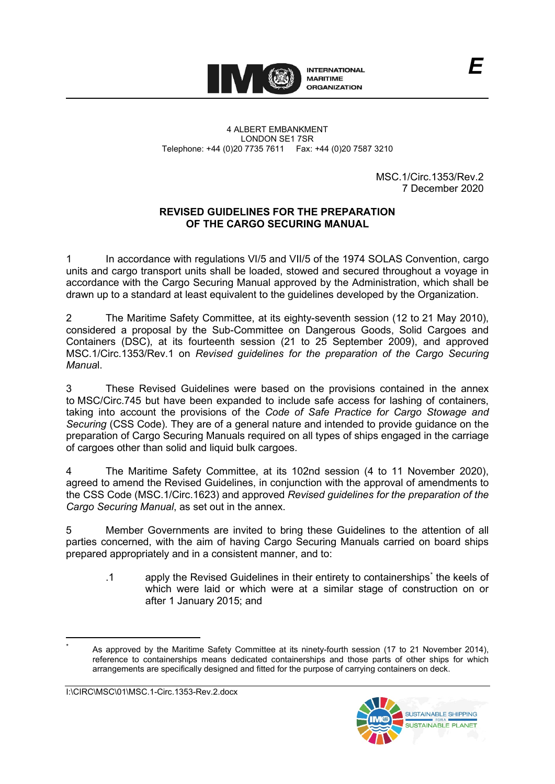

MSC.1/Circ.1353/Rev.2 7 December 2020

### **REVISED GUIDELINES FOR THE PREPARATION OF THE CARGO SECURING MANUAL**

1 In accordance with regulations VI/5 and VII/5 of the 1974 SOLAS Convention, cargo units and cargo transport units shall be loaded, stowed and secured throughout a voyage in accordance with the Cargo Securing Manual approved by the Administration, which shall be drawn up to a standard at least equivalent to the guidelines developed by the Organization.

2 The Maritime Safety Committee, at its eighty-seventh session (12 to 21 May 2010), considered a proposal by the Sub-Committee on Dangerous Goods, Solid Cargoes and Containers (DSC), at its fourteenth session (21 to 25 September 2009), and approved MSC.1/Circ.1353/Rev.1 on *Revised guidelines for the preparation of the Cargo Securing Manua*l.

3 These Revised Guidelines were based on the provisions contained in the annex to MSC/Circ.745 but have been expanded to include safe access for lashing of containers, taking into account the provisions of the *Code of Safe Practice for Cargo Stowage and Securing* (CSS Code). They are of a general nature and intended to provide guidance on the preparation of Cargo Securing Manuals required on all types of ships engaged in the carriage of cargoes other than solid and liquid bulk cargoes.

4 The Maritime Safety Committee, at its 102nd session (4 to 11 November 2020), agreed to amend the Revised Guidelines, in conjunction with the approval of amendments to the CSS Code (MSC.1/Circ.1623) and approved *Revised guidelines for the preparation of the Cargo Securing Manual*, as set out in the annex.

5 Member Governments are invited to bring these Guidelines to the attention of all parties concerned, with the aim of having Cargo Securing Manuals carried on board ships prepared appropriately and in a consistent manner, and to:

.1 apply the Revised Guidelines in their entirety to containerships[\\*](#page-0-0) the keels of which were laid or which were at a similar stage of construction on or after 1 January 2015; and



<span id="page-0-0"></span>As approved by the Maritime Safety Committee at its ninety-fourth session (17 to 21 November 2014), reference to containerships means dedicated containerships and those parts of other ships for which arrangements are specifically designed and fitted for the purpose of carrying containers on deck.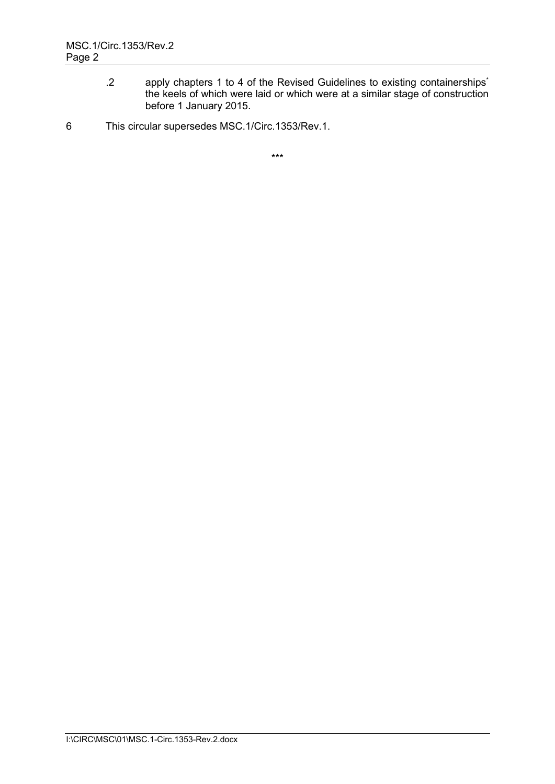- .2 apply chapters 1 to 4 of the Revised Guidelines to existing containerships\* the keels of which were laid or which were at a similar stage of construction before 1 January 2015.
- 6 This circular supersedes MSC.1/Circ.1353/Rev.1.

\*\*\*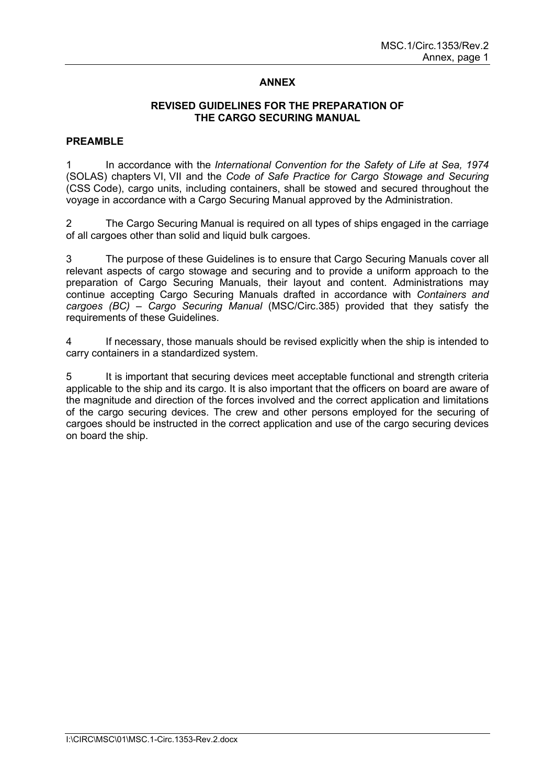# **ANNEX**

### **REVISED GUIDELINES FOR THE PREPARATION OF THE CARGO SECURING MANUAL**

### **PREAMBLE**

In accordance with the *International Convention for the Safety of Life at Sea, 1974* (SOLAS) chapters VI, VII and the *Code of Safe Practice for Cargo Stowage and Securing* (CSS Code), cargo units, including containers, shall be stowed and secured throughout the voyage in accordance with a Cargo Securing Manual approved by the Administration.

2 The Cargo Securing Manual is required on all types of ships engaged in the carriage of all cargoes other than solid and liquid bulk cargoes.

3 The purpose of these Guidelines is to ensure that Cargo Securing Manuals cover all relevant aspects of cargo stowage and securing and to provide a uniform approach to the preparation of Cargo Securing Manuals, their layout and content. Administrations may continue accepting Cargo Securing Manuals drafted in accordance with *Containers and cargoes (BC) – Cargo Securing Manual* (MSC/Circ.385) provided that they satisfy the requirements of these Guidelines.

4 If necessary, those manuals should be revised explicitly when the ship is intended to carry containers in a standardized system.

5 It is important that securing devices meet acceptable functional and strength criteria applicable to the ship and its cargo. It is also important that the officers on board are aware of the magnitude and direction of the forces involved and the correct application and limitations of the cargo securing devices. The crew and other persons employed for the securing of cargoes should be instructed in the correct application and use of the cargo securing devices on board the ship.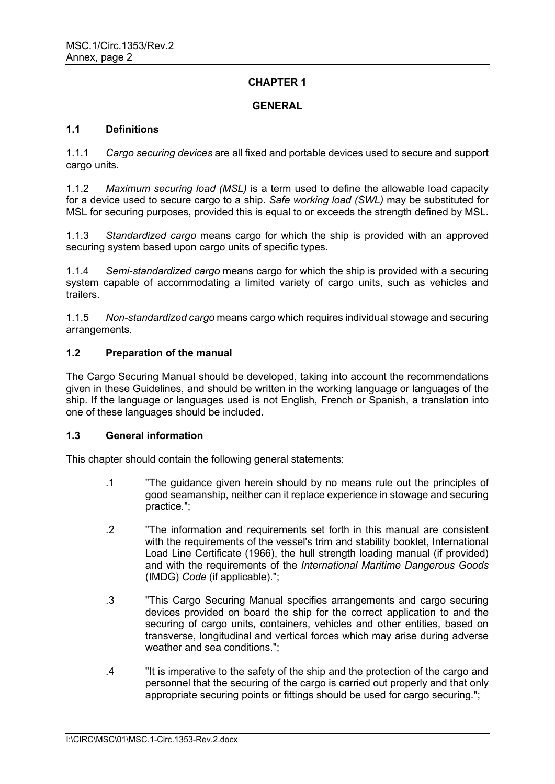### **GENERAL**

### **1.1 Definitions**

1.1.1 *Cargo securing devices* are all fixed and portable devices used to secure and support cargo units.

1.1.2 *Maximum securing load (MSL)* is a term used to define the allowable load capacity for a device used to secure cargo to a ship. *Safe working load (SWL)* may be substituted for MSL for securing purposes, provided this is equal to or exceeds the strength defined by MSL.

1.1.3 *Standardized cargo* means cargo for which the ship is provided with an approved securing system based upon cargo units of specific types.

1.1.4 *Semi-standardized cargo* means cargo for which the ship is provided with a securing system capable of accommodating a limited variety of cargo units, such as vehicles and trailers.

1.1.5 *Non-standardized cargo* means cargo which requires individual stowage and securing arrangements.

### **1.2 Preparation of the manual**

The Cargo Securing Manual should be developed, taking into account the recommendations given in these Guidelines, and should be written in the working language or languages of the ship. If the language or languages used is not English, French or Spanish, a translation into one of these languages should be included.

#### **1.3 General information**

This chapter should contain the following general statements:

- .1 "The guidance given herein should by no means rule out the principles of good seamanship, neither can it replace experience in stowage and securing practice.";
- .2 "The information and requirements set forth in this manual are consistent with the requirements of the vessel's trim and stability booklet, International Load Line Certificate (1966), the hull strength loading manual (if provided) and with the requirements of the *International Maritime Dangerous Goods* (IMDG) *Code* (if applicable).";
- .3 "This Cargo Securing Manual specifies arrangements and cargo securing devices provided on board the ship for the correct application to and the securing of cargo units, containers, vehicles and other entities, based on transverse, longitudinal and vertical forces which may arise during adverse weather and sea conditions.";
- .4 "It is imperative to the safety of the ship and the protection of the cargo and personnel that the securing of the cargo is carried out properly and that only appropriate securing points or fittings should be used for cargo securing.";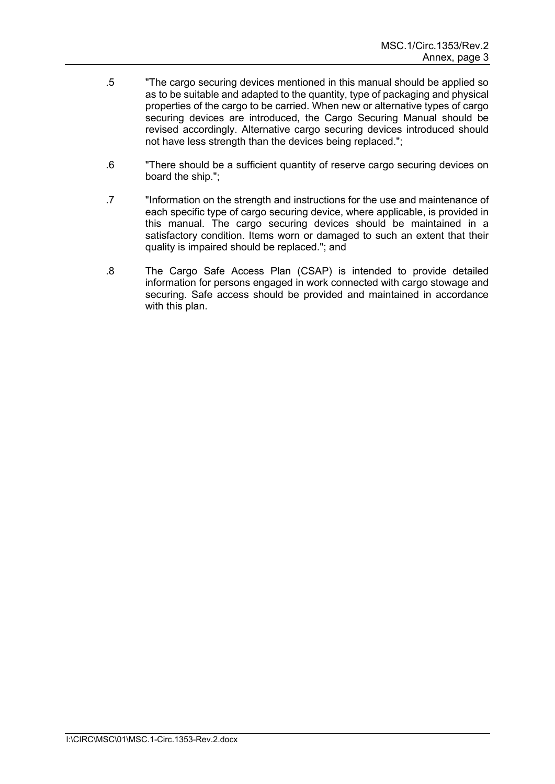- .5 "The cargo securing devices mentioned in this manual should be applied so as to be suitable and adapted to the quantity, type of packaging and physical properties of the cargo to be carried. When new or alternative types of cargo securing devices are introduced, the Cargo Securing Manual should be revised accordingly. Alternative cargo securing devices introduced should not have less strength than the devices being replaced.";
- .6 "There should be a sufficient quantity of reserve cargo securing devices on board the ship.";
- .7 "Information on the strength and instructions for the use and maintenance of each specific type of cargo securing device, where applicable, is provided in this manual. The cargo securing devices should be maintained in a satisfactory condition. Items worn or damaged to such an extent that their quality is impaired should be replaced."; and
- .8 The Cargo Safe Access Plan (CSAP) is intended to provide detailed information for persons engaged in work connected with cargo stowage and securing. Safe access should be provided and maintained in accordance with this plan.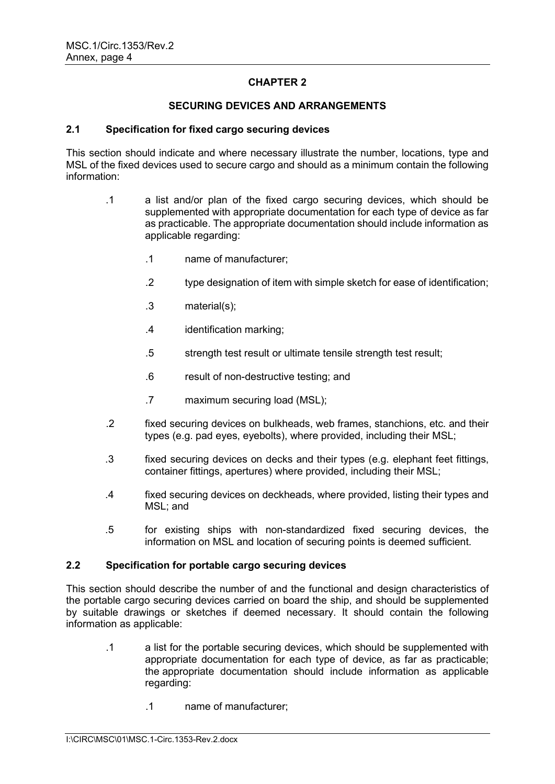### **SECURING DEVICES AND ARRANGEMENTS**

### **2.1 Specification for fixed cargo securing devices**

This section should indicate and where necessary illustrate the number, locations, type and MSL of the fixed devices used to secure cargo and should as a minimum contain the following information:

- .1 a list and/or plan of the fixed cargo securing devices, which should be supplemented with appropriate documentation for each type of device as far as practicable. The appropriate documentation should include information as applicable regarding:
	- .1 name of manufacturer;
	- .2 type designation of item with simple sketch for ease of identification;
	- .3 material(s);
	- .4 identification marking;
	- .5 strength test result or ultimate tensile strength test result;
	- .6 result of non-destructive testing; and
	- .7 maximum securing load (MSL);
- .2 fixed securing devices on bulkheads, web frames, stanchions, etc. and their types (e.g. pad eyes, eyebolts), where provided, including their MSL;
- .3 fixed securing devices on decks and their types (e.g. elephant feet fittings, container fittings, apertures) where provided, including their MSL;
- .4 fixed securing devices on deckheads, where provided, listing their types and MSL; and
- .5 for existing ships with non-standardized fixed securing devices, the information on MSL and location of securing points is deemed sufficient.

### **2.2 Specification for portable cargo securing devices**

This section should describe the number of and the functional and design characteristics of the portable cargo securing devices carried on board the ship, and should be supplemented by suitable drawings or sketches if deemed necessary. It should contain the following information as applicable:

- .1 a list for the portable securing devices, which should be supplemented with appropriate documentation for each type of device, as far as practicable; the appropriate documentation should include information as applicable regarding:
	- .1 name of manufacturer;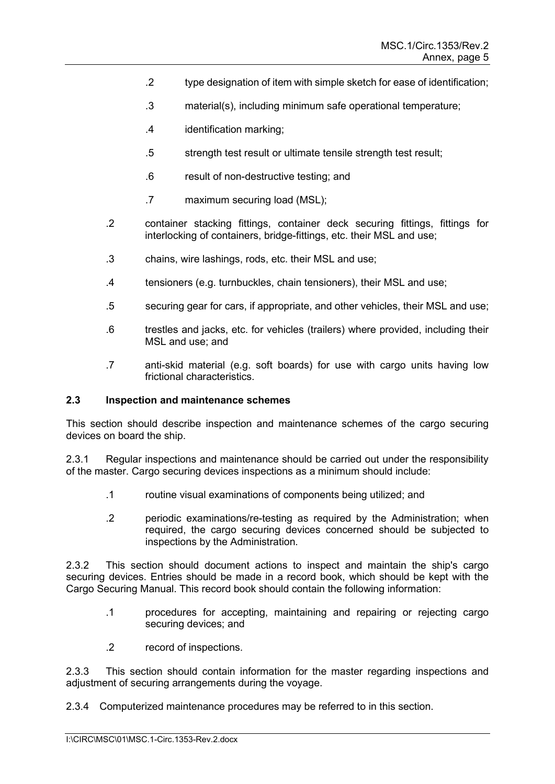- .2 type designation of item with simple sketch for ease of identification;
- .3 material(s), including minimum safe operational temperature;
- .4 identification marking;
- .5 strength test result or ultimate tensile strength test result;
- .6 result of non-destructive testing; and
- .7 maximum securing load (MSL);
- .2 container stacking fittings, container deck securing fittings, fittings for interlocking of containers, bridge-fittings, etc. their MSL and use;
- .3 chains, wire lashings, rods, etc. their MSL and use;
- .4 tensioners (e.g. turnbuckles, chain tensioners), their MSL and use;
- .5 securing gear for cars, if appropriate, and other vehicles, their MSL and use;
- .6 trestles and jacks, etc. for vehicles (trailers) where provided, including their MSL and use; and
- .7 anti-skid material (e.g. soft boards) for use with cargo units having low frictional characteristics.

#### **2.3 Inspection and maintenance schemes**

This section should describe inspection and maintenance schemes of the cargo securing devices on board the ship.

2.3.1 Regular inspections and maintenance should be carried out under the responsibility of the master. Cargo securing devices inspections as a minimum should include:

- .1 routine visual examinations of components being utilized; and
- .2 periodic examinations/re-testing as required by the Administration; when required, the cargo securing devices concerned should be subjected to inspections by the Administration.

2.3.2 This section should document actions to inspect and maintain the ship's cargo securing devices. Entries should be made in a record book, which should be kept with the Cargo Securing Manual. This record book should contain the following information:

- .1 procedures for accepting, maintaining and repairing or rejecting cargo securing devices; and
- .2 record of inspections.

2.3.3 This section should contain information for the master regarding inspections and adjustment of securing arrangements during the voyage.

2.3.4 Computerized maintenance procedures may be referred to in this section.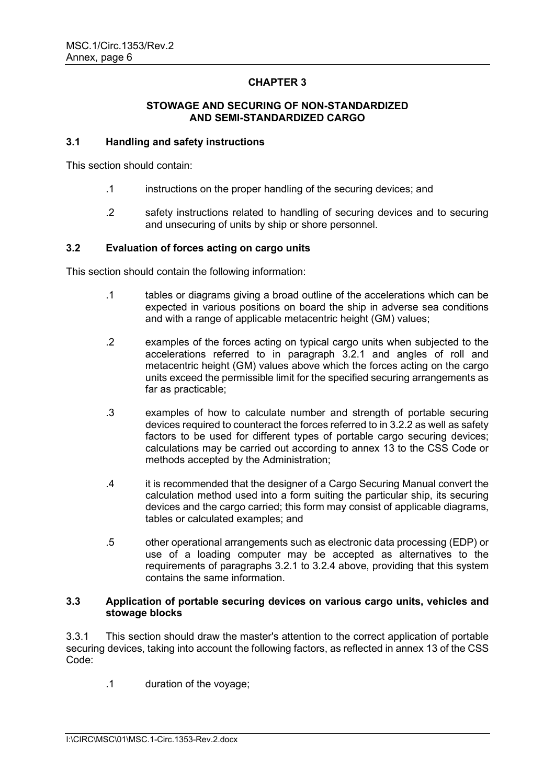### **STOWAGE AND SECURING OF NON-STANDARDIZED AND SEMI-STANDARDIZED CARGO**

### **3.1 Handling and safety instructions**

This section should contain:

- .1 instructions on the proper handling of the securing devices; and
- .2 safety instructions related to handling of securing devices and to securing and unsecuring of units by ship or shore personnel.

### **3.2 Evaluation of forces acting on cargo units**

This section should contain the following information:

- .1 tables or diagrams giving a broad outline of the accelerations which can be expected in various positions on board the ship in adverse sea conditions and with a range of applicable metacentric height (GM) values;
- .2 examples of the forces acting on typical cargo units when subjected to the accelerations referred to in paragraph 3.2.1 and angles of roll and metacentric height (GM) values above which the forces acting on the cargo units exceed the permissible limit for the specified securing arrangements as far as practicable;
- .3 examples of how to calculate number and strength of portable securing devices required to counteract the forces referred to in 3.2.2 as well as safety factors to be used for different types of portable cargo securing devices; calculations may be carried out according to annex 13 to the CSS Code or methods accepted by the Administration;
- .4 it is recommended that the designer of a Cargo Securing Manual convert the calculation method used into a form suiting the particular ship, its securing devices and the cargo carried; this form may consist of applicable diagrams, tables or calculated examples; and
- .5 other operational arrangements such as electronic data processing (EDP) or use of a loading computer may be accepted as alternatives to the requirements of paragraphs 3.2.1 to 3.2.4 above, providing that this system contains the same information.

### **3.3 Application of portable securing devices on various cargo units, vehicles and stowage blocks**

3.3.1 This section should draw the master's attention to the correct application of portable securing devices, taking into account the following factors, as reflected in annex 13 of the CSS Code:

.1 duration of the voyage;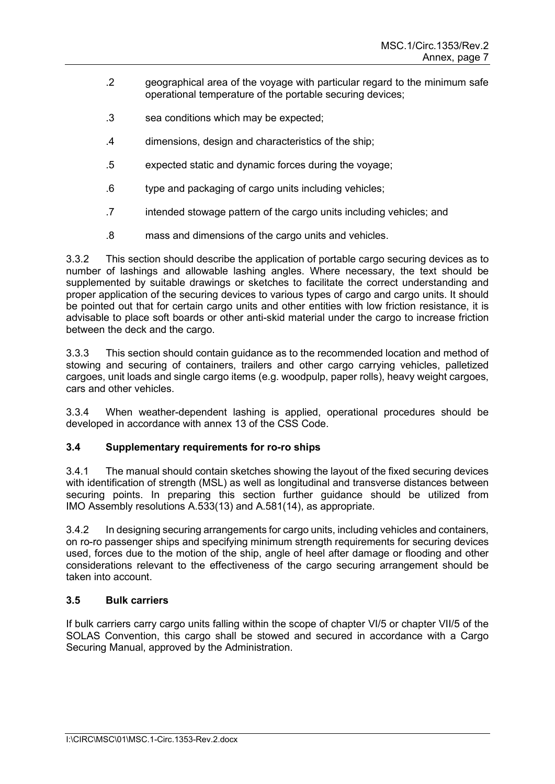- .2 geographical area of the voyage with particular regard to the minimum safe operational temperature of the portable securing devices;
- .3 sea conditions which may be expected;
- .4 dimensions, design and characteristics of the ship;
- .5 expected static and dynamic forces during the voyage;
- .6 type and packaging of cargo units including vehicles;
- .7 intended stowage pattern of the cargo units including vehicles; and
- .8 mass and dimensions of the cargo units and vehicles.

3.3.2 This section should describe the application of portable cargo securing devices as to number of lashings and allowable lashing angles. Where necessary, the text should be supplemented by suitable drawings or sketches to facilitate the correct understanding and proper application of the securing devices to various types of cargo and cargo units. It should be pointed out that for certain cargo units and other entities with low friction resistance, it is advisable to place soft boards or other anti-skid material under the cargo to increase friction between the deck and the cargo.

3.3.3 This section should contain guidance as to the recommended location and method of stowing and securing of containers, trailers and other cargo carrying vehicles, palletized cargoes, unit loads and single cargo items (e.g. woodpulp, paper rolls), heavy weight cargoes, cars and other vehicles.

3.3.4 When weather-dependent lashing is applied, operational procedures should be developed in accordance with annex 13 of the CSS Code.

### **3.4 Supplementary requirements for ro-ro ships**

3.4.1 The manual should contain sketches showing the layout of the fixed securing devices with identification of strength (MSL) as well as longitudinal and transverse distances between securing points. In preparing this section further guidance should be utilized from IMO Assembly resolutions A.533(13) and A.581(14), as appropriate.

3.4.2 In designing securing arrangements for cargo units, including vehicles and containers, on ro-ro passenger ships and specifying minimum strength requirements for securing devices used, forces due to the motion of the ship, angle of heel after damage or flooding and other considerations relevant to the effectiveness of the cargo securing arrangement should be taken into account.

# **3.5 Bulk carriers**

If bulk carriers carry cargo units falling within the scope of chapter VI/5 or chapter VII/5 of the SOLAS Convention, this cargo shall be stowed and secured in accordance with a Cargo Securing Manual, approved by the Administration.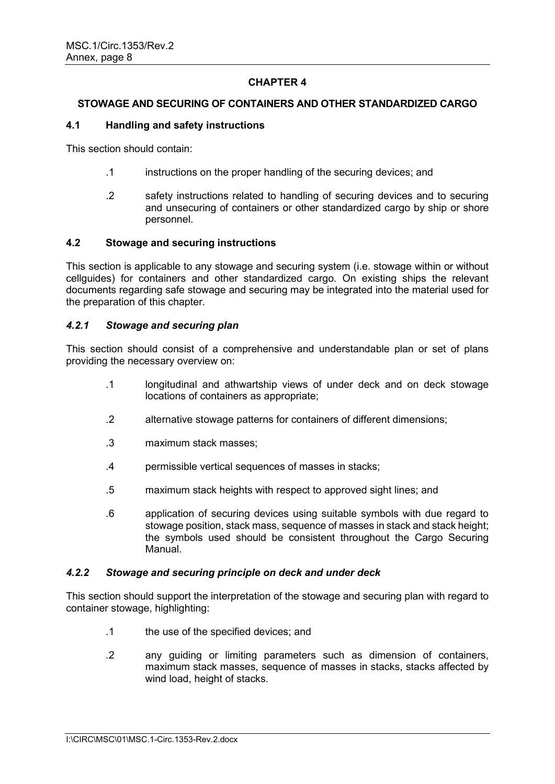### **STOWAGE AND SECURING OF CONTAINERS AND OTHER STANDARDIZED CARGO**

### **4.1 Handling and safety instructions**

This section should contain:

- .1 instructions on the proper handling of the securing devices; and
- .2 safety instructions related to handling of securing devices and to securing and unsecuring of containers or other standardized cargo by ship or shore personnel.

### **4.2 Stowage and securing instructions**

This section is applicable to any stowage and securing system (i.e. stowage within or without cellguides) for containers and other standardized cargo. On existing ships the relevant documents regarding safe stowage and securing may be integrated into the material used for the preparation of this chapter.

### *4.2.1 Stowage and securing plan*

This section should consist of a comprehensive and understandable plan or set of plans providing the necessary overview on:

- .1 longitudinal and athwartship views of under deck and on deck stowage locations of containers as appropriate;
- .2 alternative stowage patterns for containers of different dimensions;
- .3 maximum stack masses;
- .4 permissible vertical sequences of masses in stacks;
- .5 maximum stack heights with respect to approved sight lines; and
- .6 application of securing devices using suitable symbols with due regard to stowage position, stack mass, sequence of masses in stack and stack height; the symbols used should be consistent throughout the Cargo Securing Manual.

#### *4.2.2 Stowage and securing principle on deck and under deck*

This section should support the interpretation of the stowage and securing plan with regard to container stowage, highlighting:

- .1 the use of the specified devices; and
- .2 any guiding or limiting parameters such as dimension of containers, maximum stack masses, sequence of masses in stacks, stacks affected by wind load, height of stacks.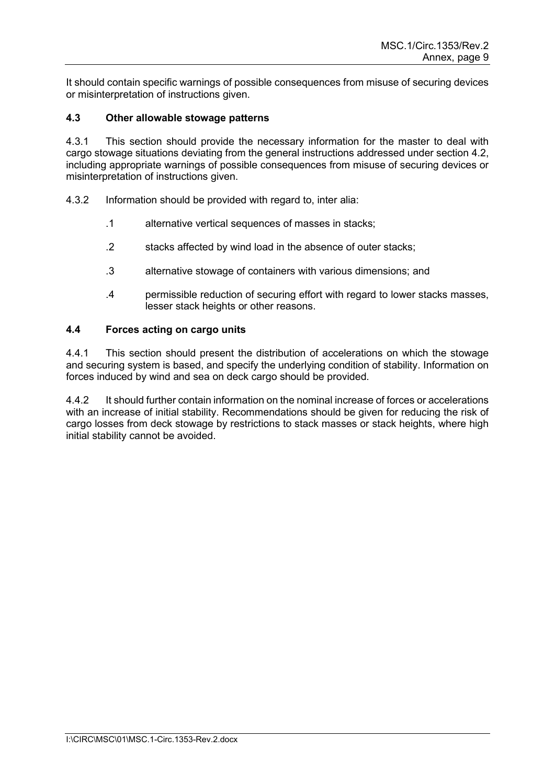It should contain specific warnings of possible consequences from misuse of securing devices or misinterpretation of instructions given.

# **4.3 Other allowable stowage patterns**

4.3.1 This section should provide the necessary information for the master to deal with cargo stowage situations deviating from the general instructions addressed under section 4.2, including appropriate warnings of possible consequences from misuse of securing devices or misinterpretation of instructions given.

- 4.3.2 Information should be provided with regard to, inter alia:
	- .1 alternative vertical sequences of masses in stacks;
	- .2 stacks affected by wind load in the absence of outer stacks;
	- .3 alternative stowage of containers with various dimensions; and
	- .4 permissible reduction of securing effort with regard to lower stacks masses, lesser stack heights or other reasons.

### **4.4 Forces acting on cargo units**

4.4.1 This section should present the distribution of accelerations on which the stowage and securing system is based, and specify the underlying condition of stability. Information on forces induced by wind and sea on deck cargo should be provided.

4.4.2 It should further contain information on the nominal increase of forces or accelerations with an increase of initial stability. Recommendations should be given for reducing the risk of cargo losses from deck stowage by restrictions to stack masses or stack heights, where high initial stability cannot be avoided.